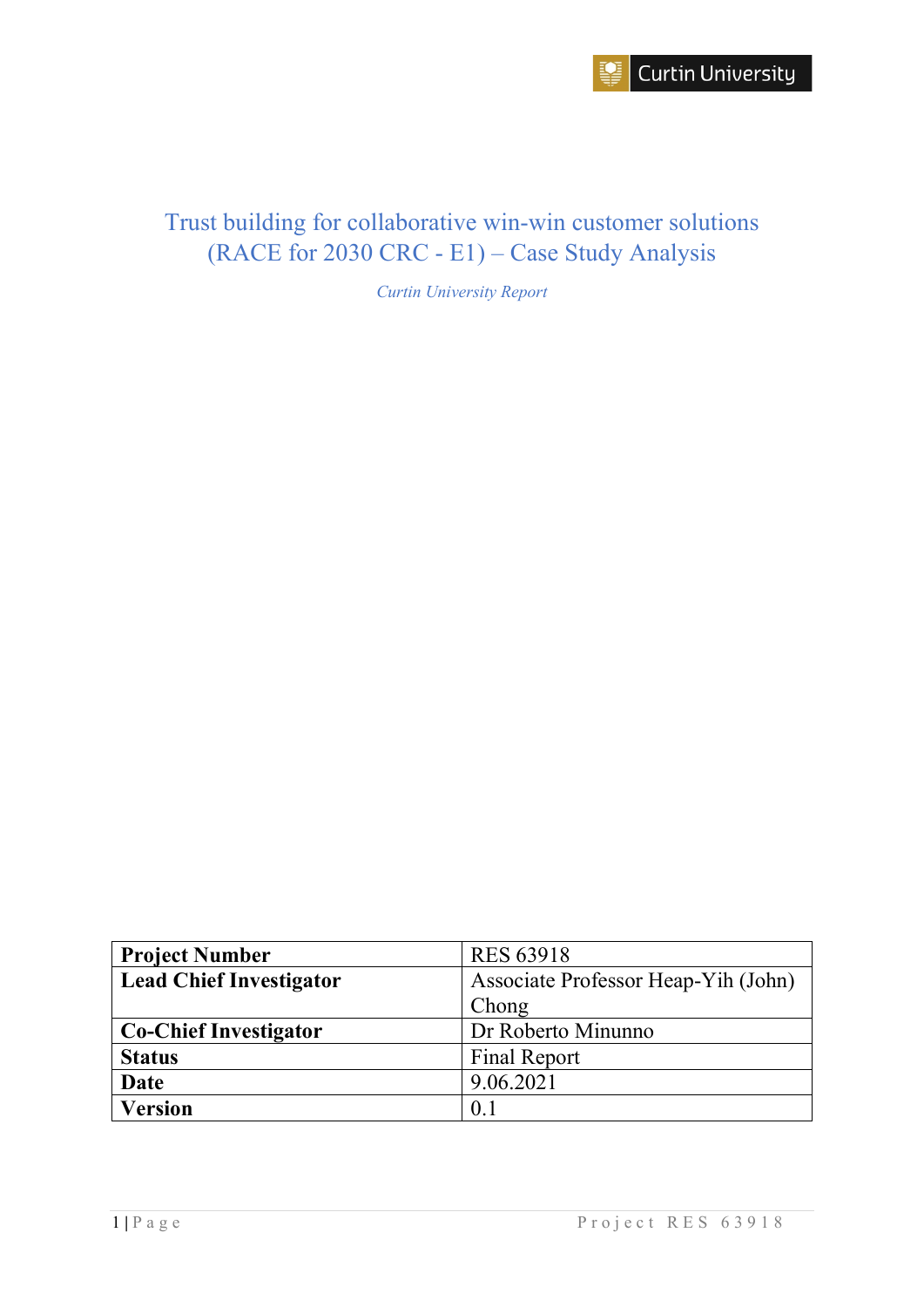

# Trust building for collaborative win-win customer solutions (RACE for 2030 CRC - E1) – Case Study Analysis

*Curtin University Report*

| <b>Project Number</b>          | <b>RES 63918</b>                    |  |  |
|--------------------------------|-------------------------------------|--|--|
| <b>Lead Chief Investigator</b> | Associate Professor Heap-Yih (John) |  |  |
|                                | Chong                               |  |  |
| <b>Co-Chief Investigator</b>   | Dr Roberto Minunno                  |  |  |
| <b>Status</b>                  | <b>Final Report</b>                 |  |  |
| Date                           | 9.06.2021                           |  |  |
| <b>Version</b>                 | 0.1                                 |  |  |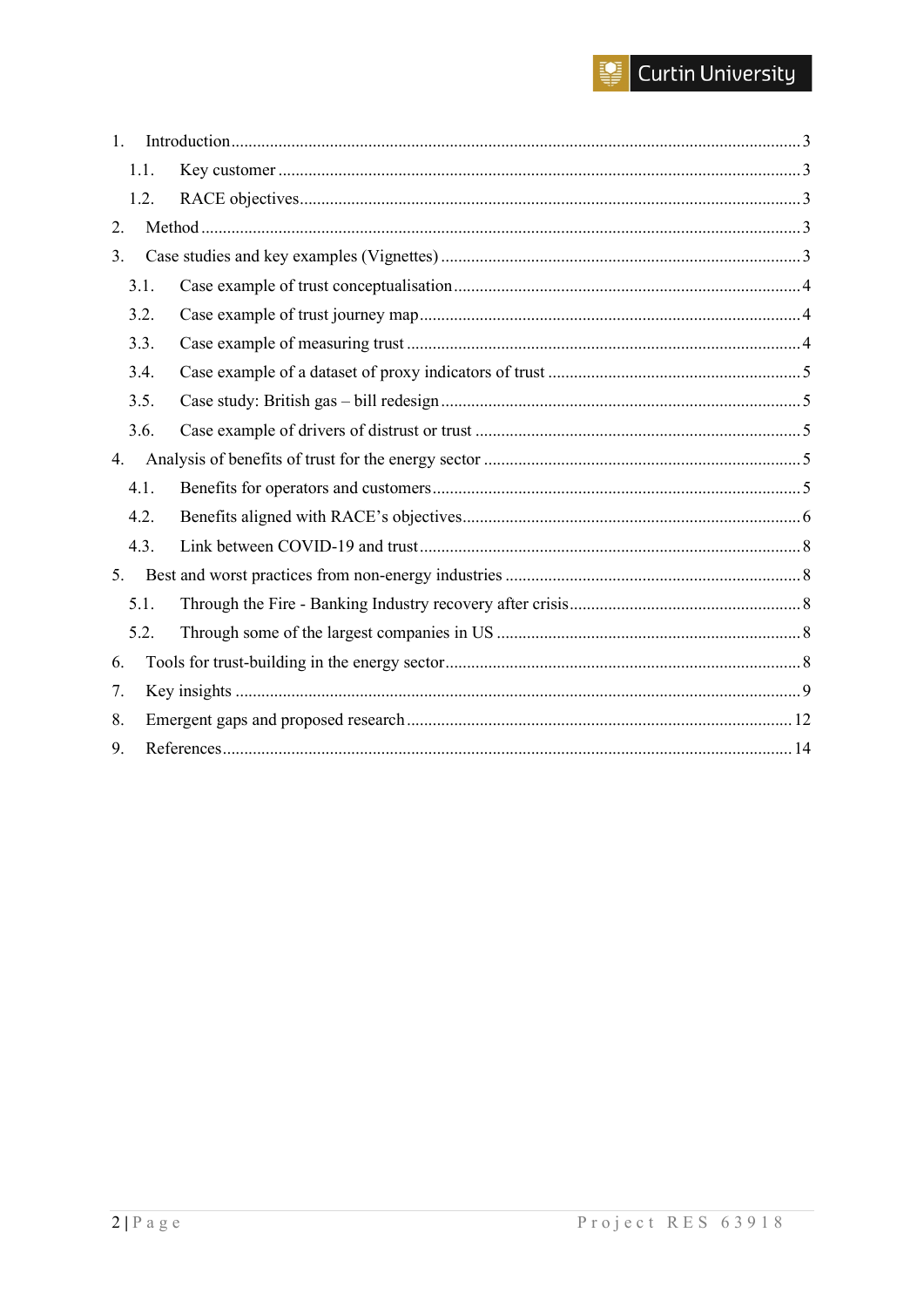# $\left|\frac{1}{2}\right|$  Curtin University

| 1. |      |  |  |  |  |
|----|------|--|--|--|--|
|    | 1.1. |  |  |  |  |
|    | 1.2. |  |  |  |  |
| 2. |      |  |  |  |  |
| 3. |      |  |  |  |  |
|    | 3.1. |  |  |  |  |
|    | 3.2. |  |  |  |  |
|    | 3.3. |  |  |  |  |
|    | 3.4. |  |  |  |  |
|    | 3.5. |  |  |  |  |
|    | 3.6. |  |  |  |  |
| 4. |      |  |  |  |  |
|    | 4.1. |  |  |  |  |
|    | 4.2. |  |  |  |  |
|    | 4.3. |  |  |  |  |
| 5. |      |  |  |  |  |
|    | 5.1. |  |  |  |  |
|    | 5.2. |  |  |  |  |
| 6. |      |  |  |  |  |
| 7. |      |  |  |  |  |
| 8. |      |  |  |  |  |
| 9. |      |  |  |  |  |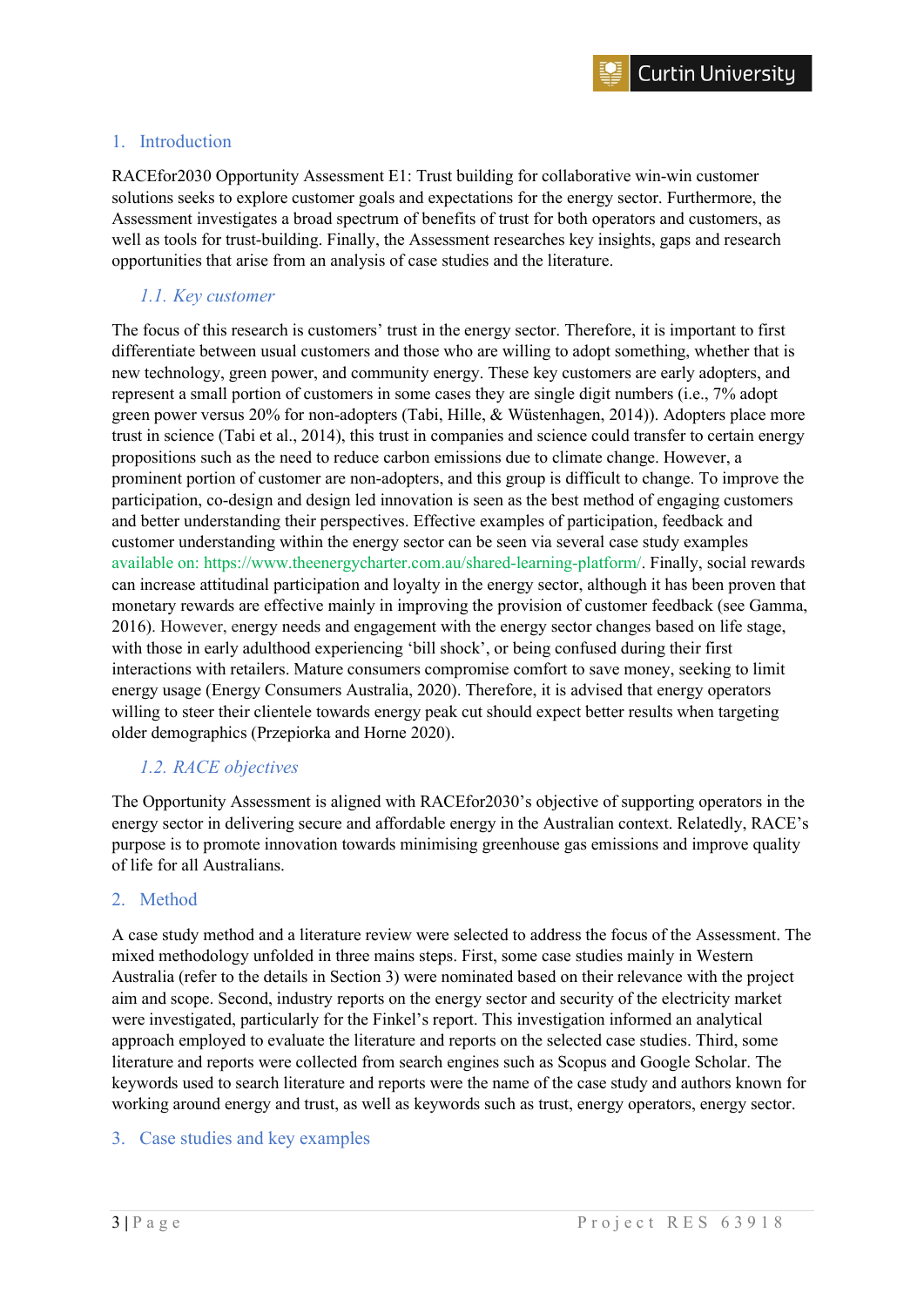#### <span id="page-2-0"></span>1. Introduction

RACEfor2030 Opportunity Assessment E1: Trust building for collaborative win-win customer solutions seeks to explore customer goals and expectations for the energy sector. Furthermore, the Assessment investigates a broad spectrum of benefits of trust for both operators and customers, as well as tools for trust-building. Finally, the Assessment researches key insights, gaps and research opportunities that arise from an analysis of case studies and the literature.

#### <span id="page-2-1"></span>*1.1. Key customer*

The focus of this research is customers' trust in the energy sector. Therefore, it is important to first differentiate between usual customers and those who are willing to adopt something, whether that is new technology, green power, and community energy. These key customers are early adopters, and represent a small portion of customers in some cases they are single digit numbers (i.e., 7% adopt green power versus 20% for non-adopters (Tabi, Hille, & Wüstenhagen, 2014)). Adopters place more trust in science (Tabi et al., 2014), this trust in companies and science could transfer to certain energy propositions such as the need to reduce carbon emissions due to climate change. However, a prominent portion of customer are non-adopters, and this group is difficult to change. To improve the participation, co-design and design led innovation is seen as the best method of engaging customers and better understanding their perspectives. Effective examples of participation, feedback and customer understanding within the energy sector can be seen via several case study examples available on: [https://www.theenergycharter.com.au/shared-learning-platform/.](https://urldefense.com/v3/__https:/www.theenergycharter.com.au/shared-learning-platform/__;!!NVzLfOphnbDXSw!R5xGHsM5xNwS8WbAAhdSzJ90sLUYcUPbbdlw5iybY2znHYaX1cfdGrfxH0LaaH4FTJbUN50$) Finally, social rewards can increase attitudinal participation and loyalty in the energy sector, although it has been proven that monetary rewards are effective mainly in improving the provision of customer feedback (see Gamma, 2016). However, energy needs and engagement with the energy sector changes based on life stage, with those in early adulthood experiencing 'bill shock', or being confused during their first interactions with retailers. Mature consumers compromise comfort to save money, seeking to limit energy usage (Energy Consumers Australia, 2020). Therefore, it is advised that energy operators willing to steer their clientele towards energy peak cut should expect better results when targeting older demographics (Przepiorka and Horne 2020).

#### <span id="page-2-2"></span>*1.2. RACE objectives*

The Opportunity Assessment is aligned with RACEfor2030's objective of supporting operators in the energy sector in delivering secure and affordable energy in the Australian context. Relatedly, RACE's purpose is to promote innovation towards minimising greenhouse gas emissions and improve quality of life for all Australians.

#### <span id="page-2-3"></span>2. Method

A case study method and a literature review were selected to address the focus of the Assessment. The mixed methodology unfolded in three mains steps. First, some case studies mainly in Western Australia (refer to the details in Section 3) were nominated based on their relevance with the project aim and scope. Second, industry reports on the energy sector and security of the electricity market were investigated, particularly for the Finkel's report. This investigation informed an analytical approach employed to evaluate the literature and reports on the selected case studies. Third, some literature and reports were collected from search engines such as Scopus and Google Scholar. The keywords used to search literature and reports were the name of the case study and authors known for working around energy and trust, as well as keywords such as trust, energy operators, energy sector.

# <span id="page-2-4"></span>3. Case studies and key examples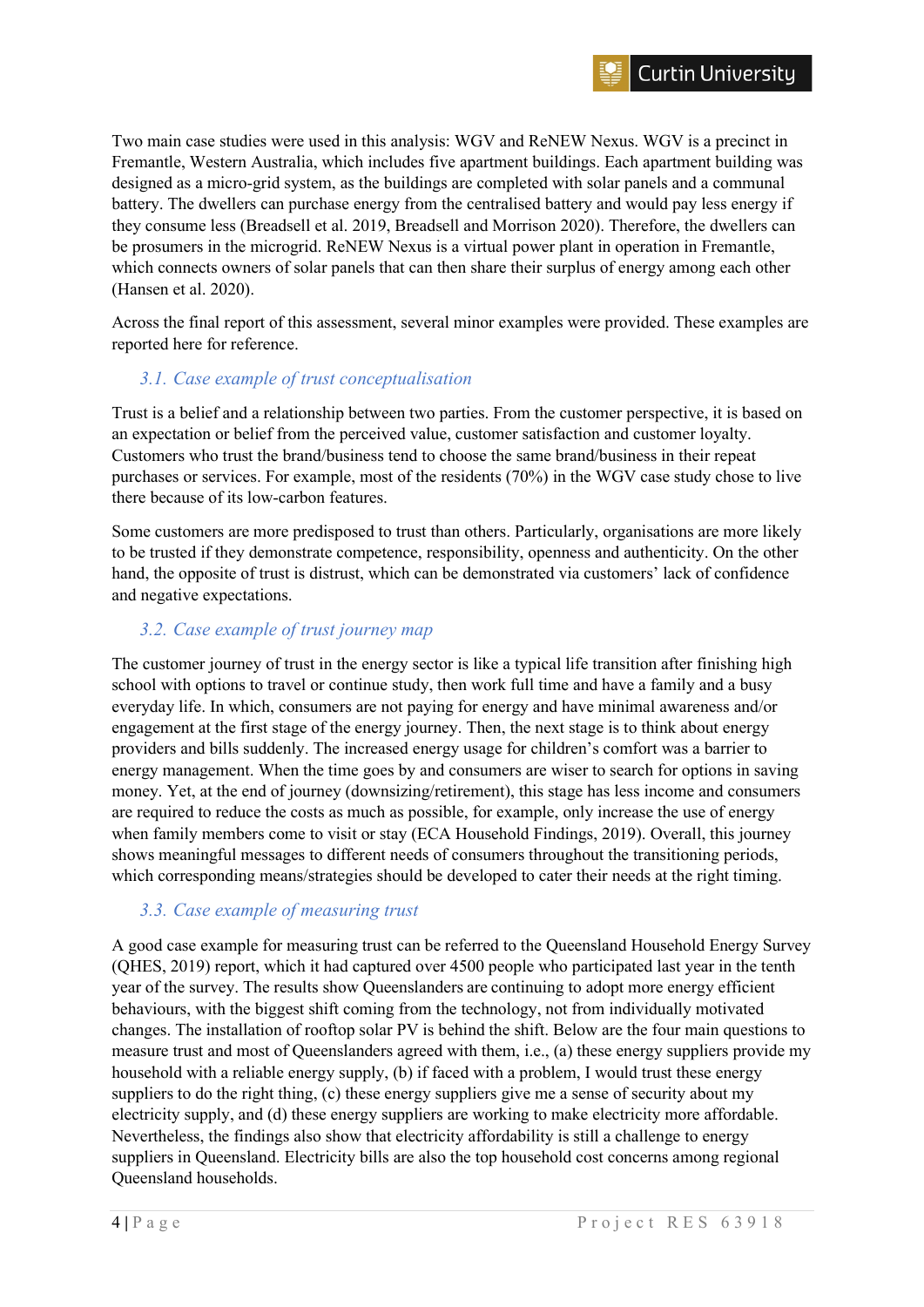Two main case studies were used in this analysis: WGV and ReNEW Nexus. WGV is a precinct in Fremantle, Western Australia, which includes five apartment buildings. Each apartment building was designed as a micro-grid system, as the buildings are completed with solar panels and a communal battery. The dwellers can purchase energy from the centralised battery and would pay less energy if they consume less (Breadsell et al. 2019, Breadsell and Morrison 2020). Therefore, the dwellers can be prosumers in the microgrid. ReNEW Nexus is a virtual power plant in operation in Fremantle, which connects owners of solar panels that can then share their surplus of energy among each other (Hansen et al. 2020).

Across the final report of this assessment, several minor examples were provided. These examples are reported here for reference.

# <span id="page-3-0"></span>*3.1. Case example of trust conceptualisation*

Trust is a belief and a relationship between two parties. From the customer perspective, it is based on an expectation or belief from the perceived value, customer satisfaction and customer loyalty. Customers who trust the brand/business tend to choose the same brand/business in their repeat purchases or services. For example, most of the residents (70%) in the WGV case study chose to live there because of its low-carbon features.

Some customers are more predisposed to trust than others. Particularly, organisations are more likely to be trusted if they demonstrate competence, responsibility, openness and authenticity. On the other hand, the opposite of trust is distrust, which can be demonstrated via customers' lack of confidence and negative expectations.

# <span id="page-3-1"></span>*3.2. Case example of trust journey map*

The customer journey of trust in the energy sector is like a typical life transition after finishing high school with options to travel or continue study, then work full time and have a family and a busy everyday life. In which, consumers are not paying for energy and have minimal awareness and/or engagement at the first stage of the energy journey. Then, the next stage is to think about energy providers and bills suddenly. The increased energy usage for children's comfort was a barrier to energy management. When the time goes by and consumers are wiser to search for options in saving money. Yet, at the end of journey (downsizing/retirement), this stage has less income and consumers are required to reduce the costs as much as possible, for example, only increase the use of energy when family members come to visit or stay (ECA Household Findings, 2019). Overall, this journey shows meaningful messages to different needs of consumers throughout the transitioning periods, which corresponding means/strategies should be developed to cater their needs at the right timing.

# <span id="page-3-2"></span>*3.3. Case example of measuring trust*

A good case example for measuring trust can be referred to the Queensland Household Energy Survey (QHES, 2019) report, which it had captured over 4500 people who participated last year in the tenth year of the survey. The results show Queenslanders are continuing to adopt more energy efficient behaviours, with the biggest shift coming from the technology, not from individually motivated changes. The installation of rooftop solar PV is behind the shift. Below are the four main questions to measure trust and most of Queenslanders agreed with them, i.e., (a) these energy suppliers provide my household with a reliable energy supply, (b) if faced with a problem, I would trust these energy suppliers to do the right thing, (c) these energy suppliers give me a sense of security about my electricity supply, and (d) these energy suppliers are working to make electricity more affordable. Nevertheless, the findings also show that electricity affordability is still a challenge to energy suppliers in Queensland. Electricity bills are also the top household cost concerns among regional Queensland households.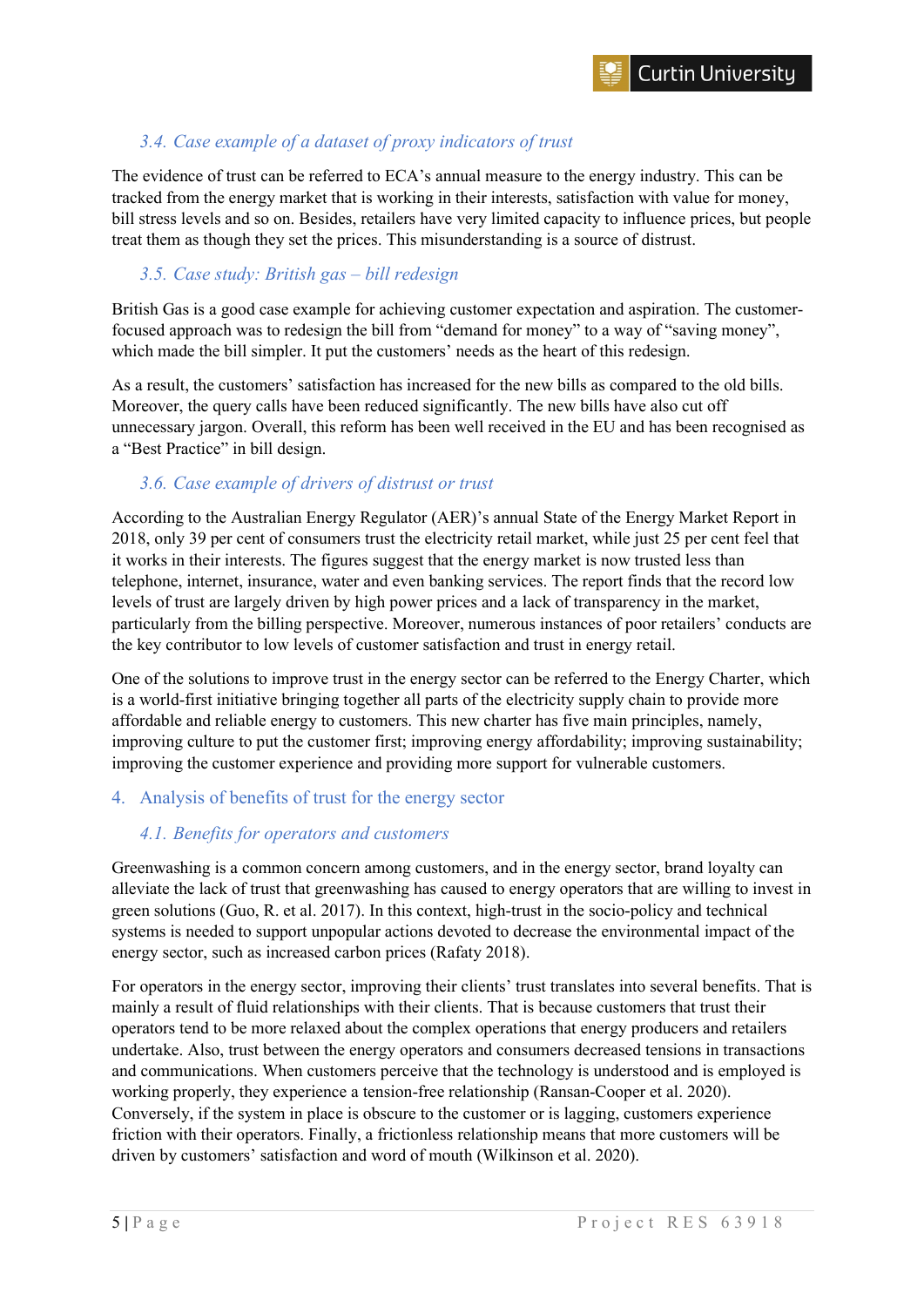# <span id="page-4-0"></span>*3.4. Case example of a dataset of proxy indicators of trust*

The evidence of trust can be referred to ECA's annual measure to the energy industry. This can be tracked from the energy market that is working in their interests, satisfaction with value for money, bill stress levels and so on. Besides, retailers have very limited capacity to influence prices, but people treat them as though they set the prices. This misunderstanding is a source of distrust.

#### <span id="page-4-1"></span>*3.5. Case study: British gas – bill redesign*

British Gas is a good case example for achieving customer expectation and aspiration. The customerfocused approach was to redesign the bill from "demand for money" to a way of "saving money", which made the bill simpler. It put the customers' needs as the heart of this redesign.

As a result, the customers' satisfaction has increased for the new bills as compared to the old bills. Moreover, the query calls have been reduced significantly. The new bills have also cut off unnecessary jargon. Overall, this reform has been well received in the EU and has been recognised as a "Best Practice" in bill design.

#### <span id="page-4-2"></span>*3.6. Case example of drivers of distrust or trust*

According to the Australian Energy Regulator (AER)'s annual State of the Energy Market Report in 2018, only 39 per cent of consumers trust the electricity retail market, while just 25 per cent feel that it works in their interests. The figures suggest that the energy market is now trusted less than telephone, internet, insurance, water and even banking services. The report finds that the record low levels of trust are largely driven by high power prices and a lack of transparency in the market, particularly from the billing perspective. Moreover, numerous instances of poor retailers' conducts are the key contributor to low levels of customer satisfaction and trust in energy retail.

One of the solutions to improve trust in the energy sector can be referred to the Energy Charter, which is a world-first initiative bringing together all parts of the electricity supply chain to provide more affordable and reliable energy to customers. This new charter has five main principles, namely, improving culture to put the customer first; improving energy affordability; improving sustainability; improving the customer experience and providing more support for vulnerable customers.

# <span id="page-4-3"></span>4. Analysis of benefits of trust for the energy sector

# <span id="page-4-4"></span>*4.1. Benefits for operators and customers*

Greenwashing is a common concern among customers, and in the energy sector, brand loyalty can alleviate the lack of trust that greenwashing has caused to energy operators that are willing to invest in green solutions (Guo, R. et al. 2017). In this context, high-trust in the socio-policy and technical systems is needed to support unpopular actions devoted to decrease the environmental impact of the energy sector, such as increased carbon prices (Rafaty 2018).

For operators in the energy sector, improving their clients' trust translates into several benefits. That is mainly a result of fluid relationships with their clients. That is because customers that trust their operators tend to be more relaxed about the complex operations that energy producers and retailers undertake. Also, trust between the energy operators and consumers decreased tensions in transactions and communications. When customers perceive that the technology is understood and is employed is working properly, they experience a tension-free relationship (Ransan-Cooper et al. 2020). Conversely, if the system in place is obscure to the customer or is lagging, customers experience friction with their operators. Finally, a frictionless relationship means that more customers will be driven by customers' satisfaction and word of mouth (Wilkinson et al. 2020).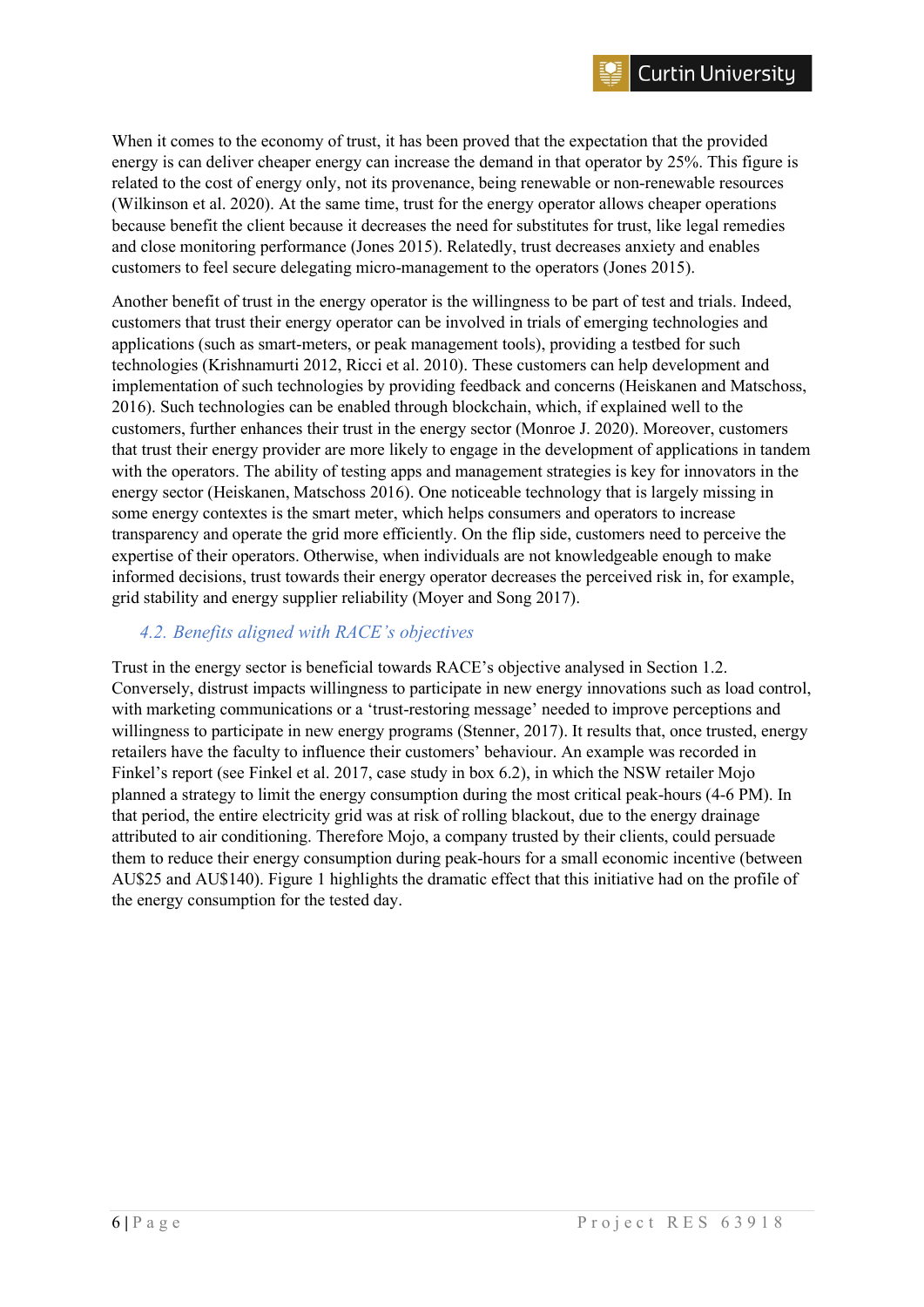When it comes to the economy of trust, it has been proved that the expectation that the provided energy is can deliver cheaper energy can increase the demand in that operator by 25%. This figure is related to the cost of energy only, not its provenance, being renewable or non-renewable resources (Wilkinson et al. 2020). At the same time, trust for the energy operator allows cheaper operations because benefit the client because it decreases the need for substitutes for trust, like legal remedies and close monitoring performance (Jones 2015). Relatedly, trust decreases anxiety and enables customers to feel secure delegating micro-management to the operators (Jones 2015).

Another benefit of trust in the energy operator is the willingness to be part of test and trials. Indeed, customers that trust their energy operator can be involved in trials of emerging technologies and applications (such as smart-meters, or peak management tools), providing a testbed for such technologies (Krishnamurti 2012, Ricci et al. 2010). These customers can help development and implementation of such technologies by providing feedback and concerns (Heiskanen and Matschoss, 2016). Such technologies can be enabled through blockchain, which, if explained well to the customers, further enhances their trust in the energy sector (Monroe J. 2020). Moreover, customers that trust their energy provider are more likely to engage in the development of applications in tandem with the operators. The ability of testing apps and management strategies is key for innovators in the energy sector (Heiskanen, Matschoss 2016). One noticeable technology that is largely missing in some energy contextes is the smart meter, which helps consumers and operators to increase transparency and operate the grid more efficiently. On the flip side, customers need to perceive the expertise of their operators. Otherwise, when individuals are not knowledgeable enough to make informed decisions, trust towards their energy operator decreases the perceived risk in, for example, grid stability and energy supplier reliability (Moyer and Song 2017).

# <span id="page-5-0"></span>*4.2. Benefits aligned with RACE's objectives*

Trust in the energy sector is beneficial towards RACE's objective analysed in Section 1.2. Conversely, distrust impacts willingness to participate in new energy innovations such as load control, with marketing communications or a 'trust-restoring message' needed to improve perceptions and willingness to participate in new energy programs (Stenner, 2017). It results that, once trusted, energy retailers have the faculty to influence their customers' behaviour. An example was recorded in Finkel's report (see Finkel et al. 2017, case study in box 6.2), in which the NSW retailer Mojo planned a strategy to limit the energy consumption during the most critical peak-hours (4-6 PM). In that period, the entire electricity grid was at risk of rolling blackout, due to the energy drainage attributed to air conditioning. Therefore Mojo, a company trusted by their clients, could persuade them to reduce their energy consumption during peak-hours for a small economic incentive (between AU\$25 and AU\$140). Figure 1 highlights the dramatic effect that this initiative had on the profile of the energy consumption for the tested day.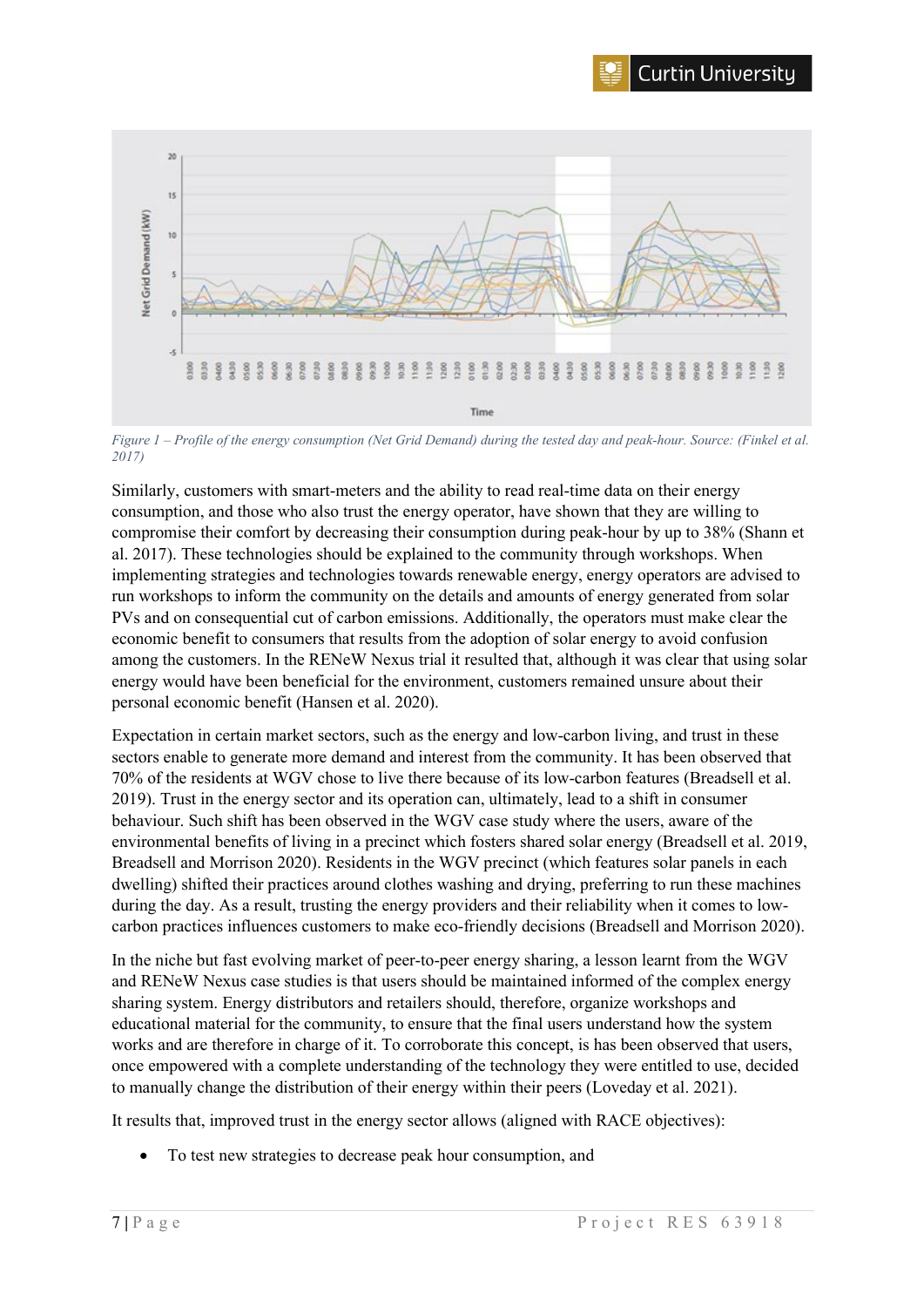



*Figure 1 – Profile of the energy consumption (Net Grid Demand) during the tested day and peak-hour. Source: (Finkel et al. 2017)*

Similarly, customers with smart-meters and the ability to read real-time data on their energy consumption, and those who also trust the energy operator, have shown that they are willing to compromise their comfort by decreasing their consumption during peak-hour by up to 38% (Shann et al. 2017). These technologies should be explained to the community through workshops. When implementing strategies and technologies towards renewable energy, energy operators are advised to run workshops to inform the community on the details and amounts of energy generated from solar PVs and on consequential cut of carbon emissions. Additionally, the operators must make clear the economic benefit to consumers that results from the adoption of solar energy to avoid confusion among the customers. In the RENeW Nexus trial it resulted that, although it was clear that using solar energy would have been beneficial for the environment, customers remained unsure about their personal economic benefit (Hansen et al. 2020).

Expectation in certain market sectors, such as the energy and low-carbon living, and trust in these sectors enable to generate more demand and interest from the community. It has been observed that 70% of the residents at WGV chose to live there because of its low-carbon features (Breadsell et al. 2019). Trust in the energy sector and its operation can, ultimately, lead to a shift in consumer behaviour. Such shift has been observed in the WGV case study where the users, aware of the environmental benefits of living in a precinct which fosters shared solar energy (Breadsell et al. 2019, Breadsell and Morrison 2020). Residents in the WGV precinct (which features solar panels in each dwelling) shifted their practices around clothes washing and drying, preferring to run these machines during the day. As a result, trusting the energy providers and their reliability when it comes to lowcarbon practices influences customers to make eco-friendly decisions (Breadsell and Morrison 2020).

In the niche but fast evolving market of peer-to-peer energy sharing, a lesson learnt from the WGV and RENeW Nexus case studies is that users should be maintained informed of the complex energy sharing system. Energy distributors and retailers should, therefore, organize workshops and educational material for the community, to ensure that the final users understand how the system works and are therefore in charge of it. To corroborate this concept, is has been observed that users, once empowered with a complete understanding of the technology they were entitled to use, decided to manually change the distribution of their energy within their peers (Loveday et al. 2021).

It results that, improved trust in the energy sector allows (aligned with RACE objectives):

To test new strategies to decrease peak hour consumption, and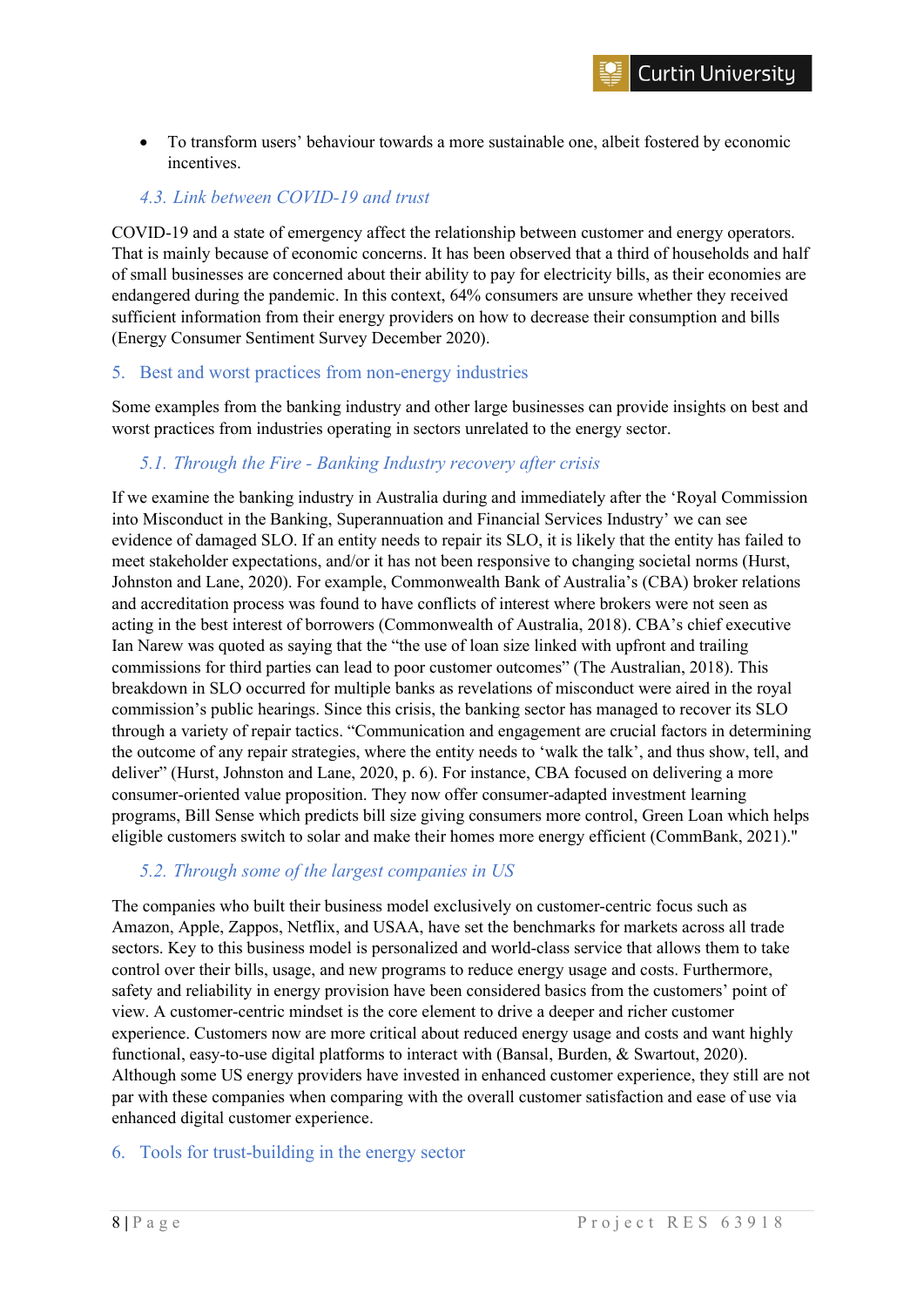• To transform users' behaviour towards a more sustainable one, albeit fostered by economic incentives.

#### <span id="page-7-0"></span>*4.3. Link between COVID-19 and trust*

COVID-19 and a state of emergency affect the relationship between customer and energy operators. That is mainly because of economic concerns. It has been observed that a third of households and half of small businesses are concerned about their ability to pay for electricity bills, as their economies are endangered during the pandemic. In this context, 64% consumers are unsure whether they received sufficient information from their energy providers on how to decrease their consumption and bills (Energy Consumer Sentiment Survey December 2020).

#### <span id="page-7-1"></span>5. Best and worst practices from non-energy industries

Some examples from the banking industry and other large businesses can provide insights on best and worst practices from industries operating in sectors unrelated to the energy sector.

# <span id="page-7-2"></span>*5.1. Through the Fire - Banking Industry recovery after crisis*

If we examine the banking industry in Australia during and immediately after the 'Royal Commission into Misconduct in the Banking, Superannuation and Financial Services Industry' we can see evidence of damaged SLO. If an entity needs to repair its SLO, it is likely that the entity has failed to meet stakeholder expectations, and/or it has not been responsive to changing societal norms (Hurst, Johnston and Lane, 2020). For example, Commonwealth Bank of Australia's (CBA) broker relations and accreditation process was found to have conflicts of interest where brokers were not seen as acting in the best interest of borrowers (Commonwealth of Australia, 2018). CBA's chief executive Ian Narew was quoted as saying that the "the use of loan size linked with upfront and trailing commissions for third parties can lead to poor customer outcomes" (The Australian, 2018). This breakdown in SLO occurred for multiple banks as revelations of misconduct were aired in the royal commission's public hearings. Since this crisis, the banking sector has managed to recover its SLO through a variety of repair tactics. "Communication and engagement are crucial factors in determining the outcome of any repair strategies, where the entity needs to 'walk the talk', and thus show, tell, and deliver" (Hurst, Johnston and Lane, 2020, p. 6). For instance, CBA focused on delivering a more consumer-oriented value proposition. They now offer consumer-adapted investment learning programs, Bill Sense which predicts bill size giving consumers more control, Green Loan which helps eligible customers switch to solar and make their homes more energy efficient (CommBank, 2021)."

# <span id="page-7-3"></span>*5.2. Through some of the largest companies in US*

The companies who built their business model exclusively on customer-centric focus such as Amazon, Apple, Zappos, Netflix, and USAA, have set the benchmarks for markets across all trade sectors. Key to this business model is personalized and world-class service that allows them to take control over their bills, usage, and new programs to reduce energy usage and costs. Furthermore, safety and reliability in energy provision have been considered basics from the customers' point of view. A customer-centric mindset is the core element to drive a deeper and richer customer experience. Customers now are more critical about reduced energy usage and costs and want highly functional, easy-to-use digital platforms to interact with (Bansal, Burden, & Swartout, 2020). Although some US energy providers have invested in enhanced customer experience, they still are not par with these companies when comparing with the overall customer satisfaction and ease of use via enhanced digital customer experience.

#### <span id="page-7-4"></span>6. Tools for trust-building in the energy sector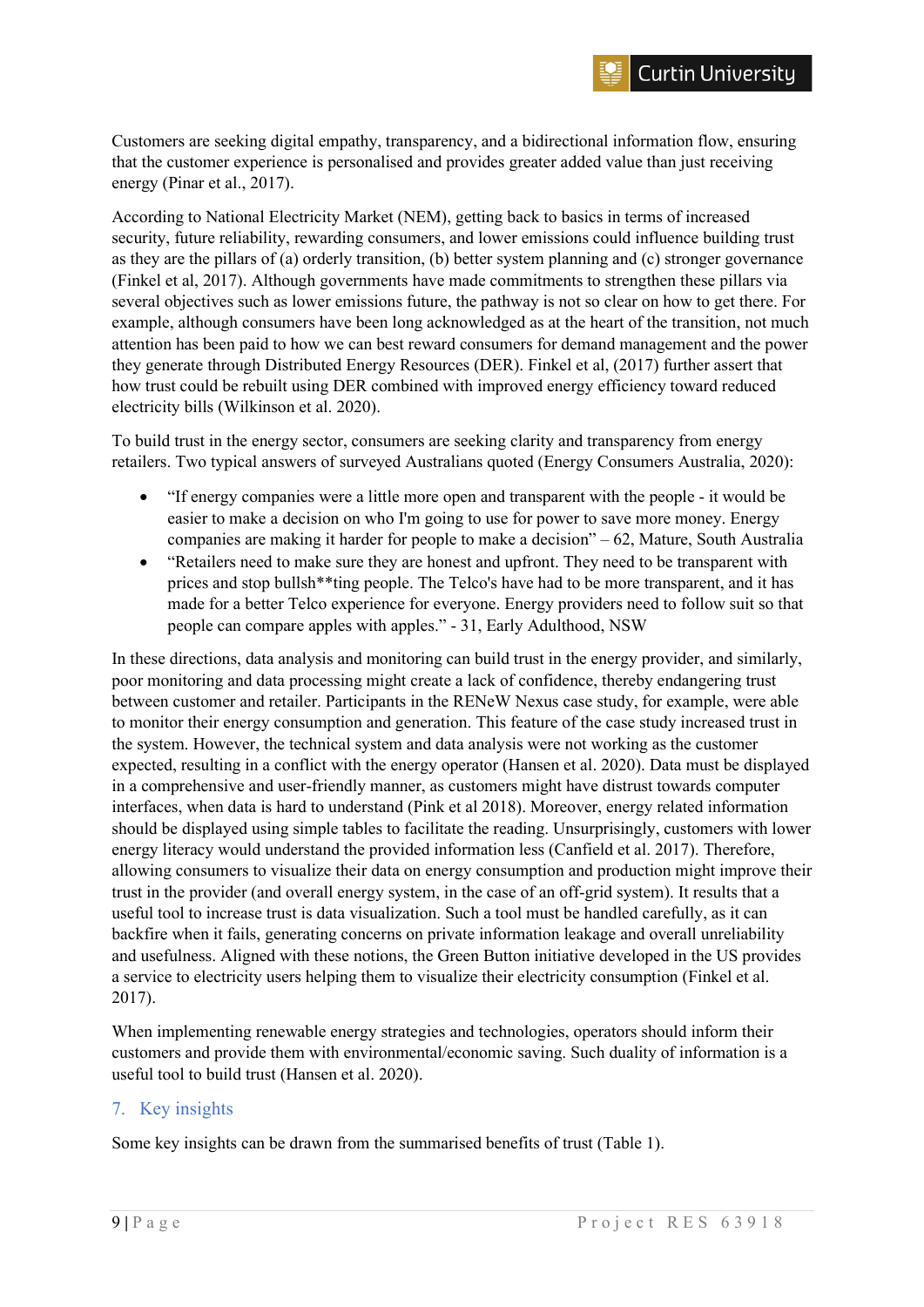Customers are seeking digital empathy, transparency, and a bidirectional information flow, ensuring that the customer experience is personalised and provides greater added value than just receiving energy (Pinar et al., 2017).

According to National Electricity Market (NEM), getting back to basics in terms of increased security, future reliability, rewarding consumers, and lower emissions could influence building trust as they are the pillars of (a) orderly transition, (b) better system planning and (c) stronger governance (Finkel et al, 2017). Although governments have made commitments to strengthen these pillars via several objectives such as lower emissions future, the pathway is not so clear on how to get there. For example, although consumers have been long acknowledged as at the heart of the transition, not much attention has been paid to how we can best reward consumers for demand management and the power they generate through Distributed Energy Resources (DER). Finkel et al, (2017) further assert that how trust could be rebuilt using DER combined with improved energy efficiency toward reduced electricity bills (Wilkinson et al. 2020).

To build trust in the energy sector, consumers are seeking clarity and transparency from energy retailers. Two typical answers of surveyed Australians quoted (Energy Consumers Australia, 2020):

- "If energy companies were a little more open and transparent with the people it would be easier to make a decision on who I'm going to use for power to save more money. Energy companies are making it harder for people to make a decision" – 62, Mature, South Australia
- "Retailers need to make sure they are honest and upfront. They need to be transparent with prices and stop bullsh\*\*ting people. The Telco's have had to be more transparent, and it has made for a better Telco experience for everyone. Energy providers need to follow suit so that people can compare apples with apples." - 31, Early Adulthood, NSW

In these directions, data analysis and monitoring can build trust in the energy provider, and similarly, poor monitoring and data processing might create a lack of confidence, thereby endangering trust between customer and retailer. Participants in the RENeW Nexus case study, for example, were able to monitor their energy consumption and generation. This feature of the case study increased trust in the system. However, the technical system and data analysis were not working as the customer expected, resulting in a conflict with the energy operator (Hansen et al. 2020). Data must be displayed in a comprehensive and user-friendly manner, as customers might have distrust towards computer interfaces, when data is hard to understand (Pink et al 2018). Moreover, energy related information should be displayed using simple tables to facilitate the reading. Unsurprisingly, customers with lower energy literacy would understand the provided information less (Canfield et al. 2017). Therefore, allowing consumers to visualize their data on energy consumption and production might improve their trust in the provider (and overall energy system, in the case of an off-grid system). It results that a useful tool to increase trust is data visualization. Such a tool must be handled carefully, as it can backfire when it fails, generating concerns on private information leakage and overall unreliability and usefulness. Aligned with these notions, the Green Button initiative developed in the US provides a service to electricity users helping them to visualize their electricity consumption (Finkel et al. 2017).

When implementing renewable energy strategies and technologies, operators should inform their customers and provide them with environmental/economic saving. Such duality of information is a useful tool to build trust (Hansen et al. 2020).

# <span id="page-8-0"></span>7. Key insights

Some key insights can be drawn from the summarised benefits of trust (Table 1).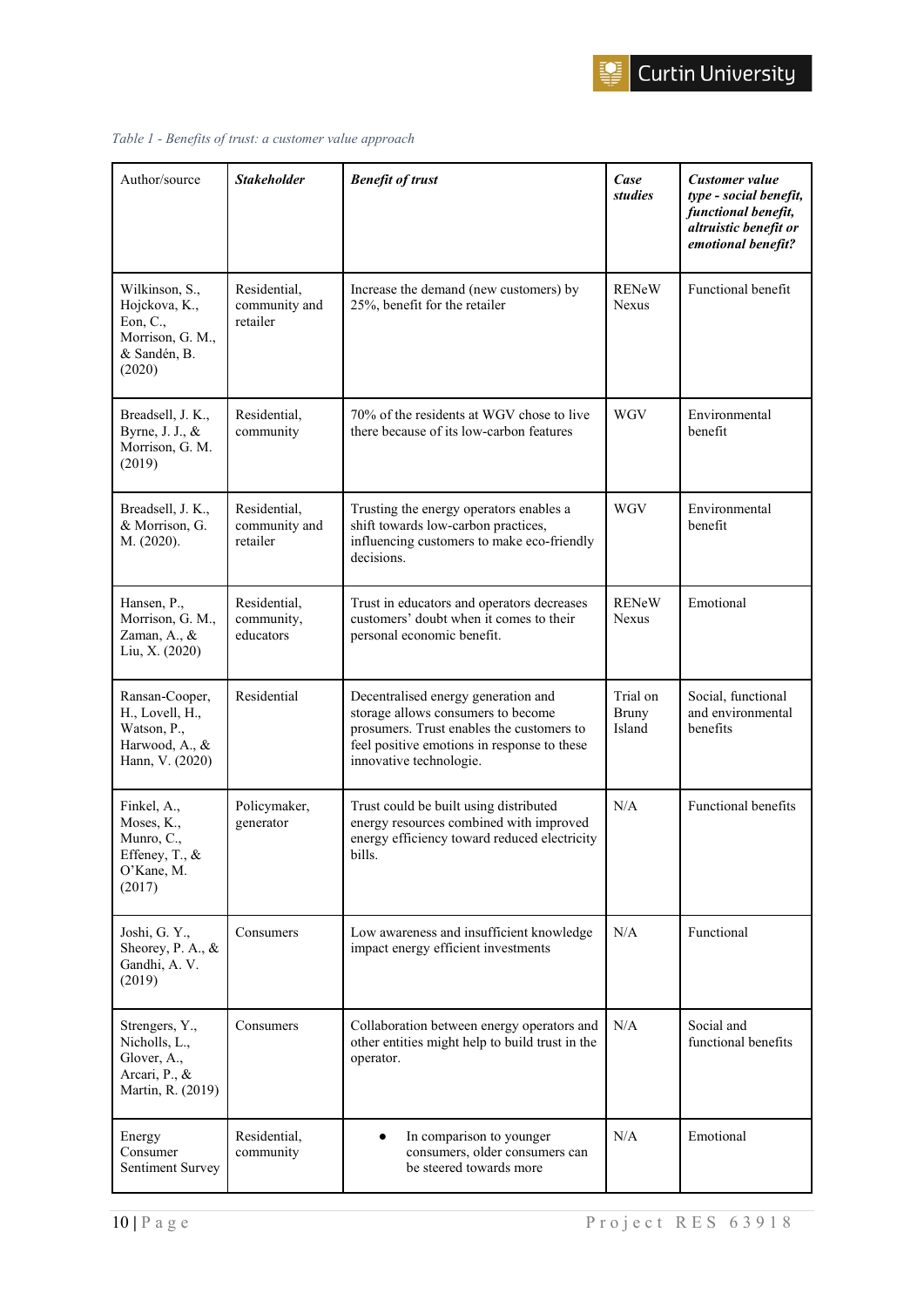

| Author/source                                                                             | <b>Stakeholder</b>                        | <b>Benefit of trust</b>                                                                                                                                                                          | Case<br>studies             | Customer value<br>type - social benefit,<br>functional benefit,<br>altruistic benefit or<br>emotional benefit? |
|-------------------------------------------------------------------------------------------|-------------------------------------------|--------------------------------------------------------------------------------------------------------------------------------------------------------------------------------------------------|-----------------------------|----------------------------------------------------------------------------------------------------------------|
| Wilkinson, S.,<br>Hojckova, K.,<br>Eon, C.,<br>Morrison, G. M.,<br>& Sandén, B.<br>(2020) | Residential,<br>community and<br>retailer | Increase the demand (new customers) by<br>25%, benefit for the retailer                                                                                                                          | <b>RENeW</b><br>Nexus       | Functional benefit                                                                                             |
| Breadsell, J. K.,<br>Byrne, J. J., &<br>Morrison, G. M.<br>(2019)                         | Residential,<br>community                 | 70% of the residents at WGV chose to live<br>there because of its low-carbon features                                                                                                            | <b>WGV</b>                  | Environmental<br>benefit                                                                                       |
| Breadsell, J. K.,<br>& Morrison, G.<br>M. (2020).                                         | Residential,<br>community and<br>retailer | Trusting the energy operators enables a<br>shift towards low-carbon practices,<br>influencing customers to make eco-friendly<br>decisions.                                                       | <b>WGV</b>                  | Environmental<br>benefit                                                                                       |
| Hansen, P.,<br>Morrison, G. M.,<br>Zaman, A., &<br>Liu, X. (2020)                         | Residential,<br>community,<br>educators   | Trust in educators and operators decreases<br>customers' doubt when it comes to their<br>personal economic benefit.                                                                              | <b>RENeW</b><br>Nexus       | Emotional                                                                                                      |
| Ransan-Cooper,<br>H., Lovell, H.,<br>Watson, P.,<br>Harwood, A., &<br>Hann, V. (2020)     | Residential                               | Decentralised energy generation and<br>storage allows consumers to become<br>prosumers. Trust enables the customers to<br>feel positive emotions in response to these<br>innovative technologie. | Trial on<br>Bruny<br>Island | Social, functional<br>and environmental<br>benefits                                                            |
| Finkel, A.,<br>Moses, K.,<br>Munro, C.,<br>Effeney, T., &<br>O'Kane, M.<br>(2017)         | Policymaker,<br>generator                 | Trust could be built using distributed<br>energy resources combined with improved<br>energy efficiency toward reduced electricity<br>bills.                                                      | N/A                         | Functional benefits                                                                                            |
| Joshi, G.Y.,<br>Sheorey, P. A., &<br>Gandhi, A. V.<br>(2019)                              | Consumers                                 | Low awareness and insufficient knowledge<br>impact energy efficient investments                                                                                                                  | N/A                         | Functional                                                                                                     |
| Strengers, Y.,<br>Nicholls, L.,<br>Glover, A.,<br>Arcari, P., &<br>Martin, R. (2019)      | Consumers                                 | Collaboration between energy operators and<br>other entities might help to build trust in the<br>operator.                                                                                       | N/A                         | Social and<br>functional benefits                                                                              |
| Energy<br>Consumer<br>Sentiment Survey                                                    | Residential,<br>community                 | In comparison to younger<br>$\bullet$<br>consumers, older consumers can<br>be steered towards more                                                                                               | N/A                         | Emotional                                                                                                      |

#### *Table 1 - Benefits of trust: a customer value approach*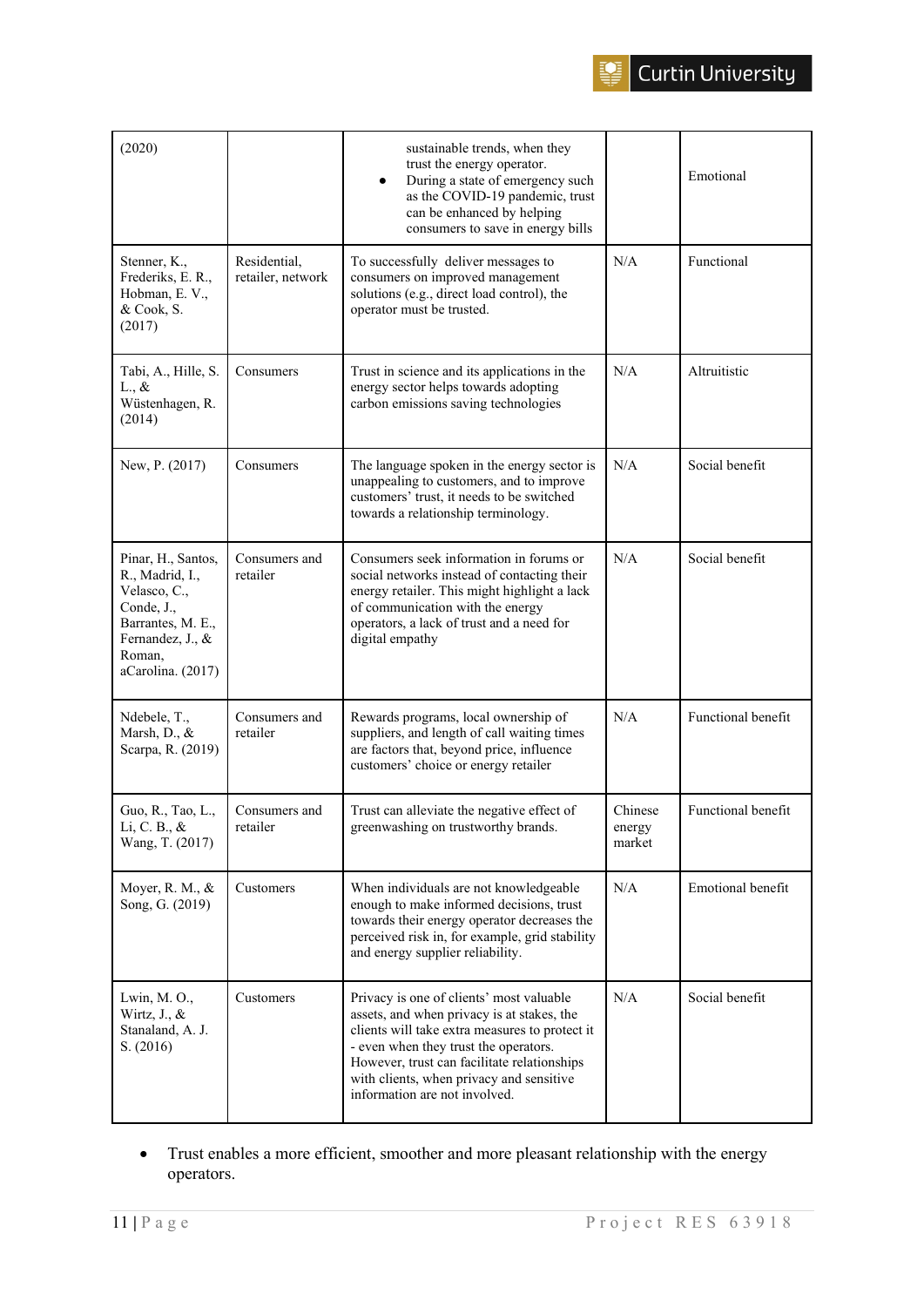

| (2020)                                                                                                                                      |                                   | sustainable trends, when they<br>trust the energy operator.<br>During a state of emergency such<br>$\bullet$<br>as the COVID-19 pandemic, trust<br>can be enhanced by helping<br>consumers to save in energy bills                                                                                            |                             | Emotional                |
|---------------------------------------------------------------------------------------------------------------------------------------------|-----------------------------------|---------------------------------------------------------------------------------------------------------------------------------------------------------------------------------------------------------------------------------------------------------------------------------------------------------------|-----------------------------|--------------------------|
| Stenner, K.,<br>Frederiks, E. R.,<br>Hobman, E. V.,<br>& Cook, S.<br>(2017)                                                                 | Residential,<br>retailer, network | To successfully deliver messages to<br>consumers on improved management<br>solutions (e.g., direct load control), the<br>operator must be trusted.                                                                                                                                                            | N/A                         | Functional               |
| Tabi, A., Hille, S.<br>$L_{\cdot}$ , &<br>Wüstenhagen, R.<br>(2014)                                                                         | Consumers                         | Trust in science and its applications in the<br>energy sector helps towards adopting<br>carbon emissions saving technologies                                                                                                                                                                                  | N/A                         | Altruitistic             |
| New, P. (2017)                                                                                                                              | Consumers                         | The language spoken in the energy sector is<br>unappealing to customers, and to improve<br>customers' trust, it needs to be switched<br>towards a relationship terminology.                                                                                                                                   | N/A                         | Social benefit           |
| Pinar, H., Santos,<br>R., Madrid, I.,<br>Velasco, C.,<br>Conde, J.,<br>Barrantes, M. E.,<br>Fernandez, J., &<br>Roman,<br>aCarolina. (2017) | Consumers and<br>retailer         | Consumers seek information in forums or<br>social networks instead of contacting their<br>energy retailer. This might highlight a lack<br>of communication with the energy<br>operators, a lack of trust and a need for<br>digital empathy                                                                    | N/A                         | Social benefit           |
| Ndebele, T.,<br>Marsh, D., &<br>Scarpa, R. (2019)                                                                                           | Consumers and<br>retailer         | Rewards programs, local ownership of<br>suppliers, and length of call waiting times<br>are factors that, beyond price, influence<br>customers' choice or energy retailer                                                                                                                                      | N/A                         | Functional benefit       |
| Guo, R., Tao, L.,<br>Li, C. B., &<br>Wang, T. (2017)                                                                                        | Consumers and<br>retailer         | Trust can alleviate the negative effect of<br>greenwashing on trustworthy brands.                                                                                                                                                                                                                             | Chinese<br>energy<br>market | Functional benefit       |
| Moyer, R. M., &<br>Song, G. (2019)                                                                                                          | Customers                         | When individuals are not knowledgeable<br>enough to make informed decisions, trust<br>towards their energy operator decreases the<br>perceived risk in, for example, grid stability<br>and energy supplier reliability.                                                                                       | N/A                         | <b>Emotional benefit</b> |
| Lwin, M. O.,<br>Wirtz, $J_{\cdot}$ , $\&$<br>Stanaland, A. J.<br>S. (2016)                                                                  | Customers                         | Privacy is one of clients' most valuable<br>assets, and when privacy is at stakes, the<br>clients will take extra measures to protect it<br>- even when they trust the operators.<br>However, trust can facilitate relationships<br>with clients, when privacy and sensitive<br>information are not involved. | N/A                         | Social benefit           |

• Trust enables a more efficient, smoother and more pleasant relationship with the energy operators.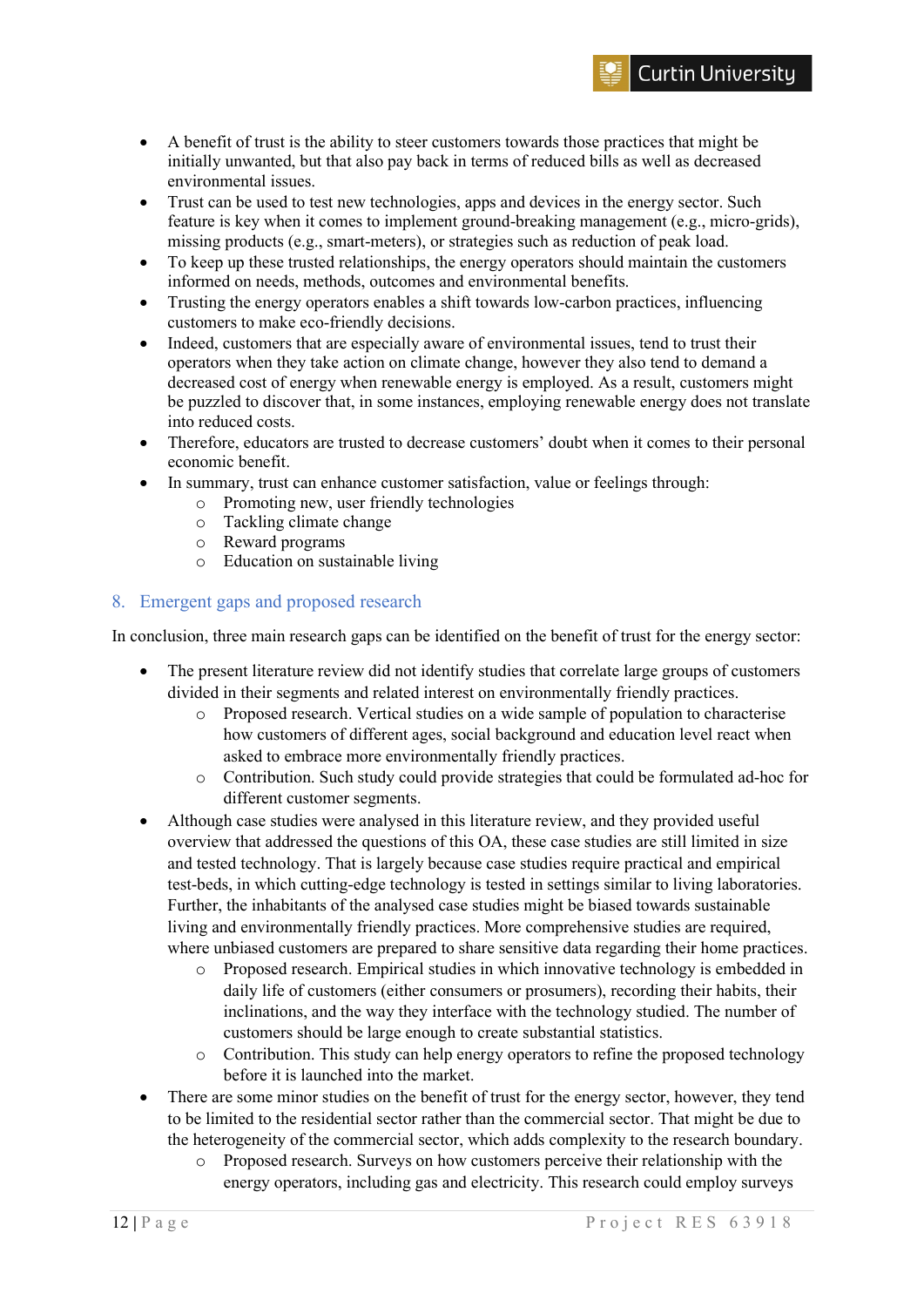- Trust can be used to test new technologies, apps and devices in the energy sector. Such feature is key when it comes to implement ground-breaking management (e.g., micro-grids), missing products (e.g., smart-meters), or strategies such as reduction of peak load.
- To keep up these trusted relationships, the energy operators should maintain the customers informed on needs, methods, outcomes and environmental benefits.
- Trusting the energy operators enables a shift towards low-carbon practices, influencing customers to make eco-friendly decisions.
- Indeed, customers that are especially aware of environmental issues, tend to trust their operators when they take action on climate change, however they also tend to demand a decreased cost of energy when renewable energy is employed. As a result, customers might be puzzled to discover that, in some instances, employing renewable energy does not translate into reduced costs.
- Therefore, educators are trusted to decrease customers' doubt when it comes to their personal economic benefit.
- In summary, trust can enhance customer satisfaction, value or feelings through:
	- o Promoting new, user friendly technologies
	- o Tackling climate change
	- o Reward programs
	- o Education on sustainable living

# <span id="page-11-0"></span>8. Emergent gaps and proposed research

In conclusion, three main research gaps can be identified on the benefit of trust for the energy sector:

- The present literature review did not identify studies that correlate large groups of customers divided in their segments and related interest on environmentally friendly practices.
	- o Proposed research. Vertical studies on a wide sample of population to characterise how customers of different ages, social background and education level react when asked to embrace more environmentally friendly practices.
	- o Contribution. Such study could provide strategies that could be formulated ad-hoc for different customer segments.
- Although case studies were analysed in this literature review, and they provided useful overview that addressed the questions of this OA, these case studies are still limited in size and tested technology. That is largely because case studies require practical and empirical test-beds, in which cutting-edge technology is tested in settings similar to living laboratories. Further, the inhabitants of the analysed case studies might be biased towards sustainable living and environmentally friendly practices. More comprehensive studies are required, where unbiased customers are prepared to share sensitive data regarding their home practices.
	- o Proposed research. Empirical studies in which innovative technology is embedded in daily life of customers (either consumers or prosumers), recording their habits, their inclinations, and the way they interface with the technology studied. The number of customers should be large enough to create substantial statistics.
	- o Contribution. This study can help energy operators to refine the proposed technology before it is launched into the market.
- There are some minor studies on the benefit of trust for the energy sector, however, they tend to be limited to the residential sector rather than the commercial sector. That might be due to the heterogeneity of the commercial sector, which adds complexity to the research boundary.
	- o Proposed research. Surveys on how customers perceive their relationship with the energy operators, including gas and electricity. This research could employ surveys

**Curtin University**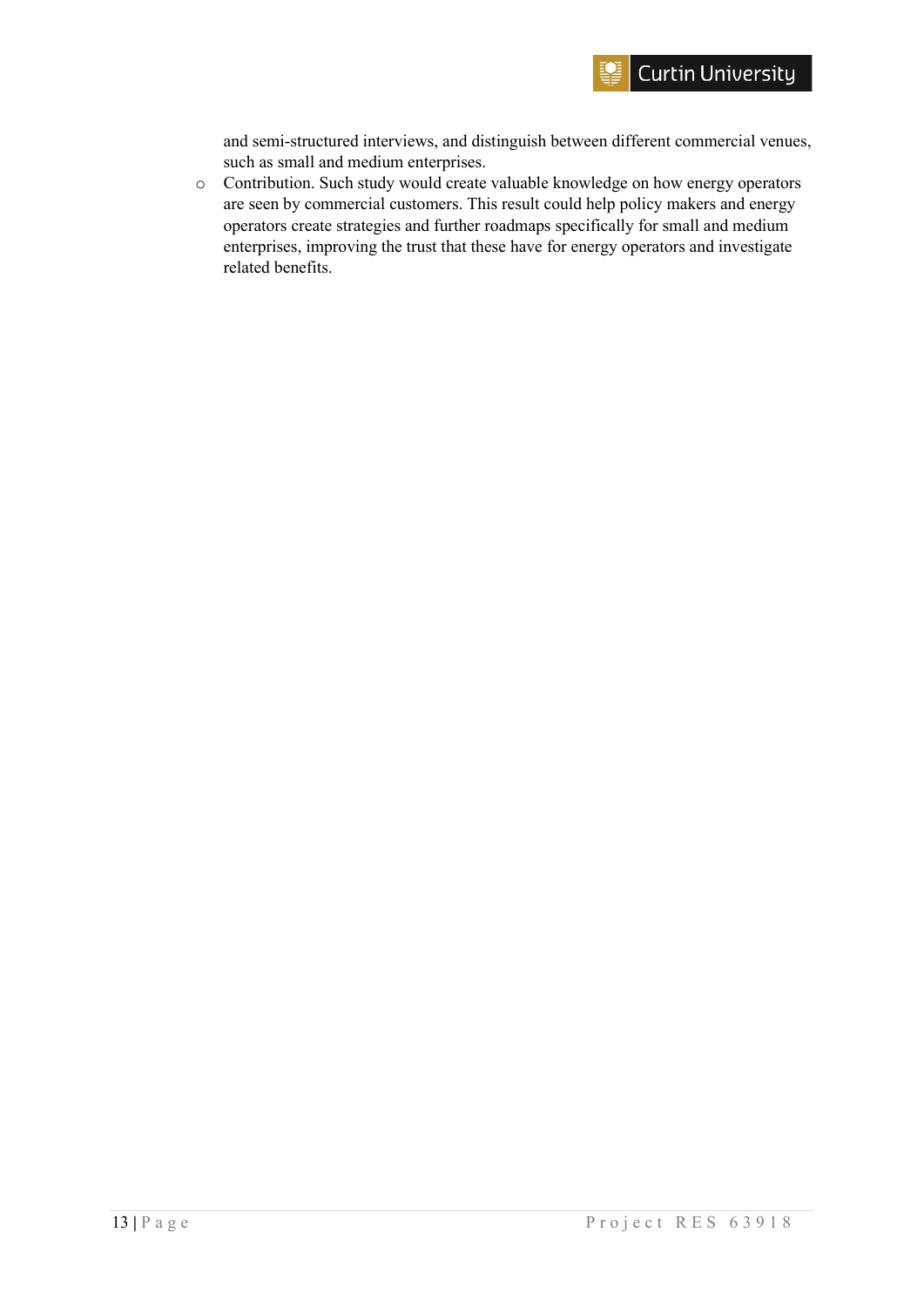and semi-structured interviews, and distinguish between different commercial venues, such as small and medium enterprises.

o Contribution. Such study would create valuable knowledge on how energy operators are seen by commercial customers. This result could help policy makers and energy operators create strategies and further roadmaps specifically for small and medium enterprises, improving the trust that these have for energy operators and investigate related benefits.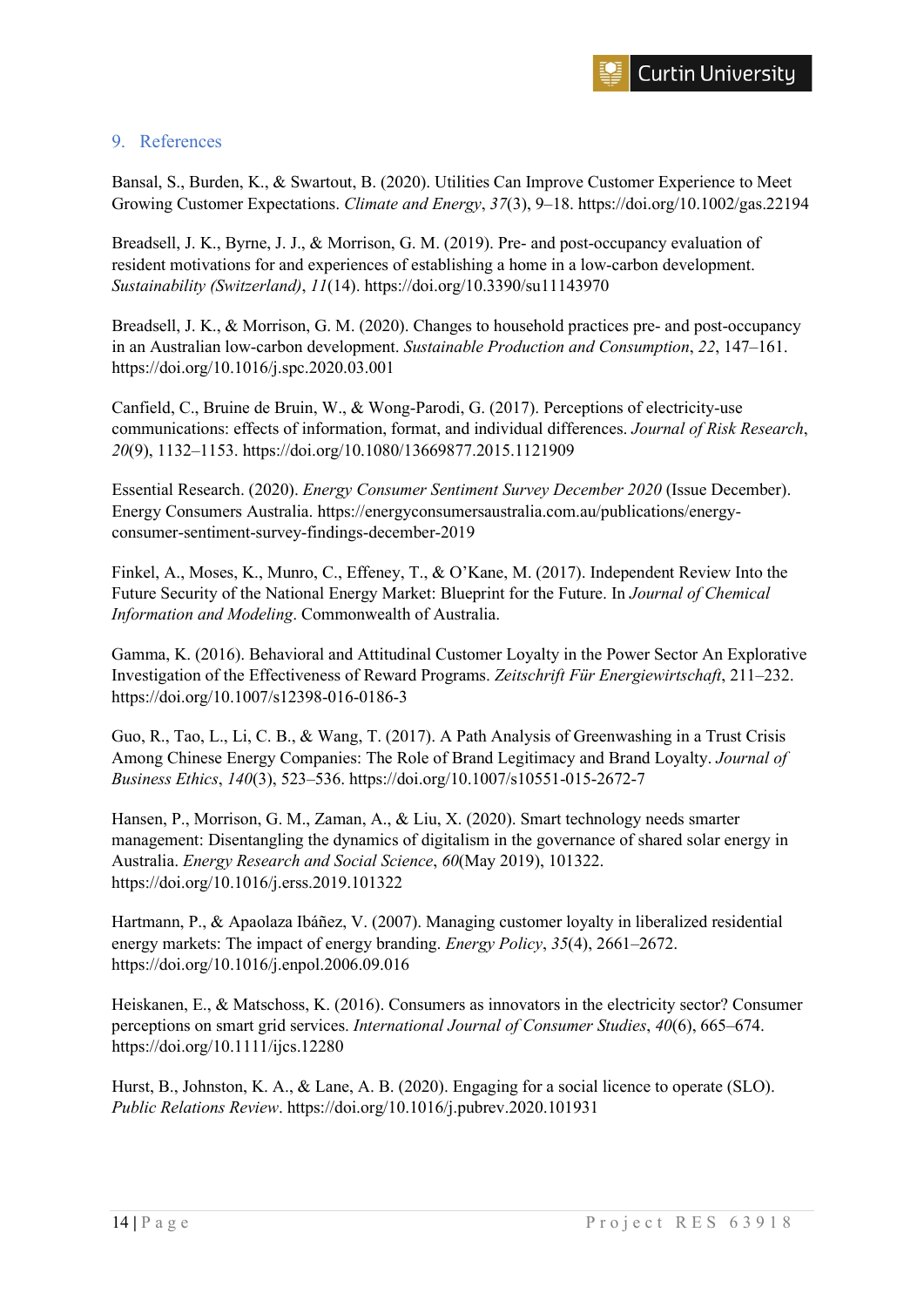#### <span id="page-13-0"></span>9. References

Bansal, S., Burden, K., & Swartout, B. (2020). Utilities Can Improve Customer Experience to Meet Growing Customer Expectations. *Climate and Energy*, *37*(3), 9–18. https://doi.org/10.1002/gas.22194

Breadsell, J. K., Byrne, J. J., & Morrison, G. M. (2019). Pre- and post-occupancy evaluation of resident motivations for and experiences of establishing a home in a low-carbon development. *Sustainability (Switzerland)*, *11*(14). https://doi.org/10.3390/su11143970

Breadsell, J. K., & Morrison, G. M. (2020). Changes to household practices pre- and post-occupancy in an Australian low-carbon development. *Sustainable Production and Consumption*, *22*, 147–161. https://doi.org/10.1016/j.spc.2020.03.001

Canfield, C., Bruine de Bruin, W., & Wong-Parodi, G. (2017). Perceptions of electricity-use communications: effects of information, format, and individual differences. *Journal of Risk Research*, *20*(9), 1132–1153. https://doi.org/10.1080/13669877.2015.1121909

Essential Research. (2020). *Energy Consumer Sentiment Survey December 2020* (Issue December). Energy Consumers Australia. https://energyconsumersaustralia.com.au/publications/energyconsumer-sentiment-survey-findings-december-2019

Finkel, A., Moses, K., Munro, C., Effeney, T., & O'Kane, M. (2017). Independent Review Into the Future Security of the National Energy Market: Blueprint for the Future. In *Journal of Chemical Information and Modeling*. Commonwealth of Australia.

Gamma, K. (2016). Behavioral and Attitudinal Customer Loyalty in the Power Sector An Explorative Investigation of the Effectiveness of Reward Programs. *Zeitschrift Für Energiewirtschaft*, 211–232. https://doi.org/10.1007/s12398-016-0186-3

Guo, R., Tao, L., Li, C. B., & Wang, T. (2017). A Path Analysis of Greenwashing in a Trust Crisis Among Chinese Energy Companies: The Role of Brand Legitimacy and Brand Loyalty. *Journal of Business Ethics*, *140*(3), 523–536. https://doi.org/10.1007/s10551-015-2672-7

Hansen, P., Morrison, G. M., Zaman, A., & Liu, X. (2020). Smart technology needs smarter management: Disentangling the dynamics of digitalism in the governance of shared solar energy in Australia. *Energy Research and Social Science*, *60*(May 2019), 101322. https://doi.org/10.1016/j.erss.2019.101322

Hartmann, P., & Apaolaza Ibáñez, V. (2007). Managing customer loyalty in liberalized residential energy markets: The impact of energy branding. *Energy Policy*, *35*(4), 2661–2672. https://doi.org/10.1016/j.enpol.2006.09.016

Heiskanen, E., & Matschoss, K. (2016). Consumers as innovators in the electricity sector? Consumer perceptions on smart grid services. *International Journal of Consumer Studies*, *40*(6), 665–674. https://doi.org/10.1111/ijcs.12280

Hurst, B., Johnston, K. A., & Lane, A. B. (2020). Engaging for a social licence to operate (SLO). *Public Relations Review*. https://doi.org/10.1016/j.pubrev.2020.101931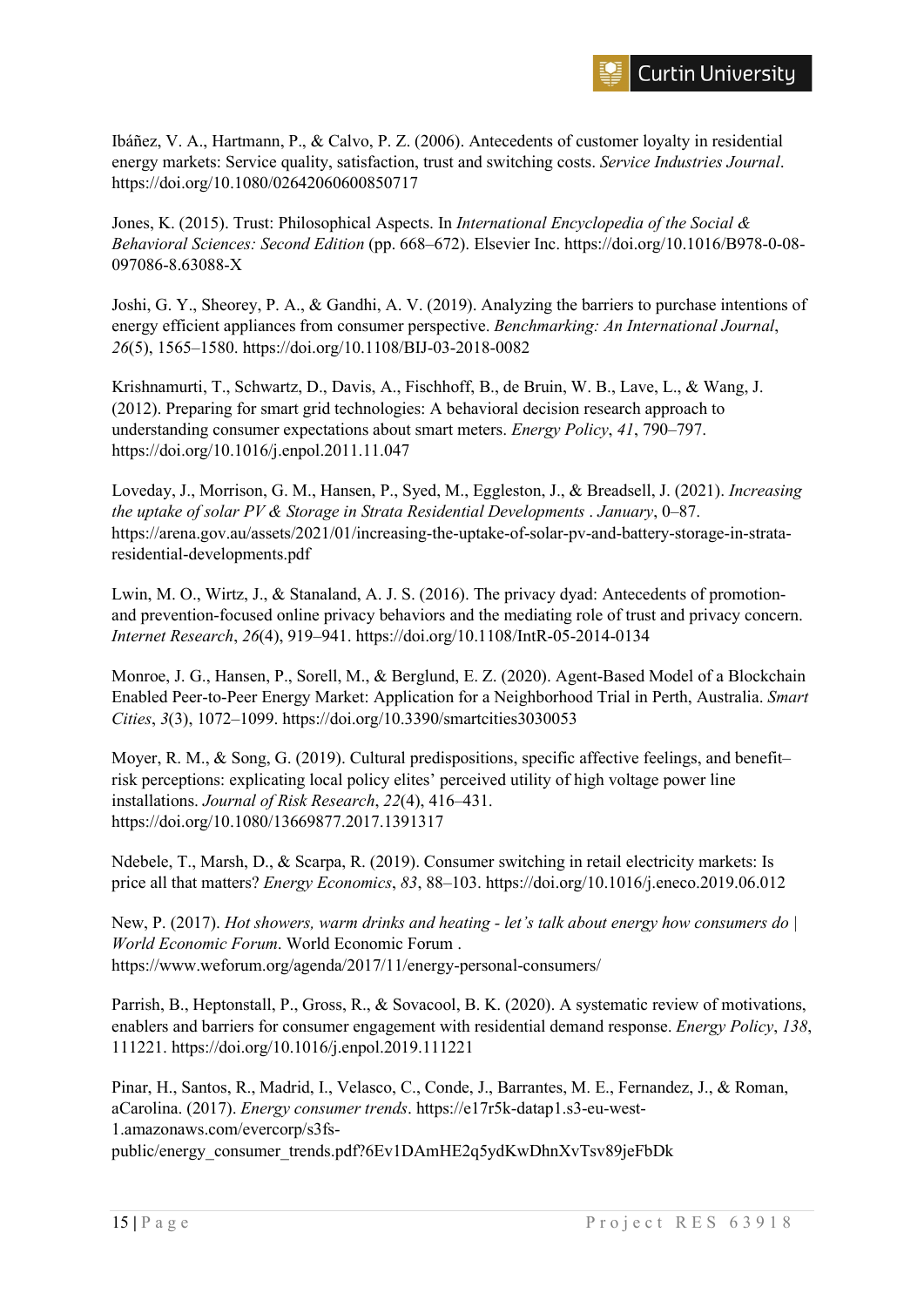Ibáñez, V. A., Hartmann, P., & Calvo, P. Z. (2006). Antecedents of customer loyalty in residential energy markets: Service quality, satisfaction, trust and switching costs. *Service Industries Journal*. https://doi.org/10.1080/02642060600850717

Jones, K. (2015). Trust: Philosophical Aspects. In *International Encyclopedia of the Social & Behavioral Sciences: Second Edition* (pp. 668–672). Elsevier Inc. https://doi.org/10.1016/B978-0-08- 097086-8.63088-X

Joshi, G. Y., Sheorey, P. A., & Gandhi, A. V. (2019). Analyzing the barriers to purchase intentions of energy efficient appliances from consumer perspective. *Benchmarking: An International Journal*, *26*(5), 1565–1580. https://doi.org/10.1108/BIJ-03-2018-0082

Krishnamurti, T., Schwartz, D., Davis, A., Fischhoff, B., de Bruin, W. B., Lave, L., & Wang, J. (2012). Preparing for smart grid technologies: A behavioral decision research approach to understanding consumer expectations about smart meters. *Energy Policy*, *41*, 790–797. https://doi.org/10.1016/j.enpol.2011.11.047

Loveday, J., Morrison, G. M., Hansen, P., Syed, M., Eggleston, J., & Breadsell, J. (2021). *Increasing the uptake of solar PV & Storage in Strata Residential Developments* . *January*, 0–87. https://arena.gov.au/assets/2021/01/increasing-the-uptake-of-solar-pv-and-battery-storage-in-strataresidential-developments.pdf

Lwin, M. O., Wirtz, J., & Stanaland, A. J. S. (2016). The privacy dyad: Antecedents of promotionand prevention-focused online privacy behaviors and the mediating role of trust and privacy concern. *Internet Research*, *26*(4), 919–941. https://doi.org/10.1108/IntR-05-2014-0134

Monroe, J. G., Hansen, P., Sorell, M., & Berglund, E. Z. (2020). Agent-Based Model of a Blockchain Enabled Peer-to-Peer Energy Market: Application for a Neighborhood Trial in Perth, Australia. *Smart Cities*, *3*(3), 1072–1099. https://doi.org/10.3390/smartcities3030053

Moyer, R. M., & Song, G. (2019). Cultural predispositions, specific affective feelings, and benefit– risk perceptions: explicating local policy elites' perceived utility of high voltage power line installations. *Journal of Risk Research*, *22*(4), 416–431. https://doi.org/10.1080/13669877.2017.1391317

Ndebele, T., Marsh, D., & Scarpa, R. (2019). Consumer switching in retail electricity markets: Is price all that matters? *Energy Economics*, *83*, 88–103. https://doi.org/10.1016/j.eneco.2019.06.012

New, P. (2017). *Hot showers, warm drinks and heating - let's talk about energy how consumers do | World Economic Forum*. World Economic Forum . https://www.weforum.org/agenda/2017/11/energy-personal-consumers/

Parrish, B., Heptonstall, P., Gross, R., & Sovacool, B. K. (2020). A systematic review of motivations, enablers and barriers for consumer engagement with residential demand response. *Energy Policy*, *138*, 111221. https://doi.org/10.1016/j.enpol.2019.111221

Pinar, H., Santos, R., Madrid, I., Velasco, C., Conde, J., Barrantes, M. E., Fernandez, J., & Roman, aCarolina. (2017). *Energy consumer trends*. https://e17r5k-datap1.s3-eu-west-1.amazonaws.com/evercorp/s3fs-

public/energy\_consumer\_trends.pdf?6Ev1DAmHE2q5ydKwDhnXvTsv89jeFbDk